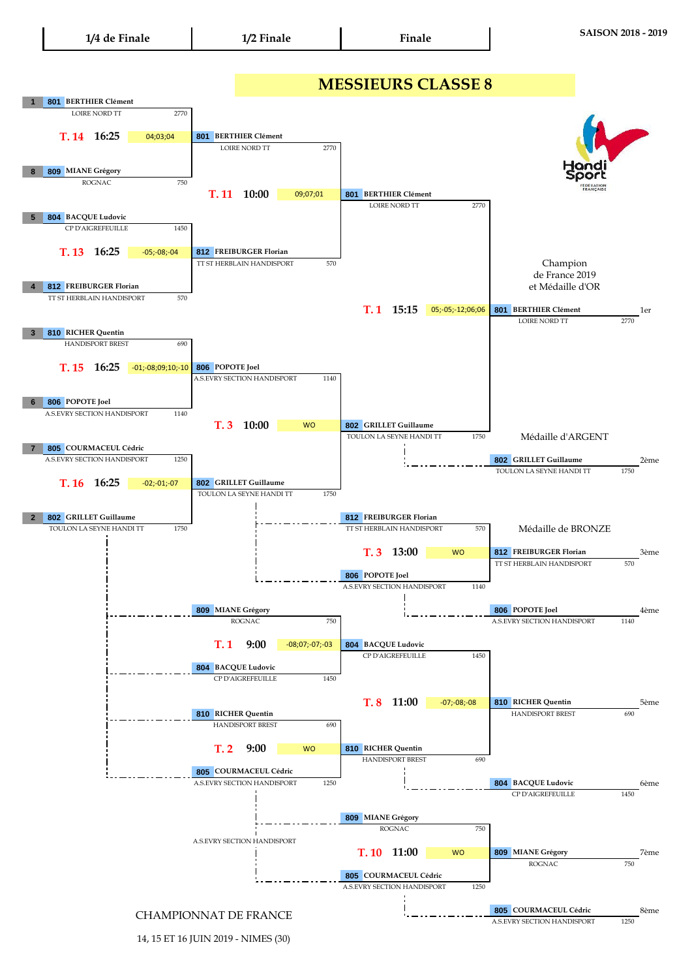## **1 801 BERTHIER Clément T. 14 801 16:25** 04;03;04 **8 809 MIANE Grégory T. 11 801 10:00 5 804 BACQUE Ludovic T. 13 16:25 4 812 FREIBURGER Florian T. 1 15:15 05;-05;-12;06;06 801 BERTHIER Clément** 1er **3 810 RICHER Quentin T. 15 806 16:25** -01;-08;09;10;-10 **6 806 POPOTE Joel T. 3 10:00** WO **7 805 COURMACEUL Cédric 802** 2ème **GRILLET Guillaume T. 16 16:25 2 802 GRILLET Guillaume T. 3 812** 3ème **FREIBURGER Florian 806 POPOTE Joel 809 806** 4ème **MIANE Grégory T. 1 804 9:00 804 BACQUE Ludovic T. 8 810** 5ème **RICHER Quentin 810 RICHER Quentin** 690 et Médaille d'OR Médaille d'ARGENT Médaille de BRONZE **BERTHIER Clément** 1750 TT ST HERBLAIN HANDISPORT **MESSIEURS CLASSE 8** Champion de France 2019 CP D'AIGREFEUILLE 1450 **BERTHIER Clément** LOIRE NORD TT 2770 LOIRE NORD TT 2770 ROGNAC 750 2770 570 09;07;01 **16:25** -05;-08;-04 LOIRE NORD TT TT ST HERBLAIN HANDISPORT 570 **812 FREIBURGER Florian** TT ST HERBLAIN HANDISPORT 570 570 HANDISPORT BREST 690 TT ST HERBLAIN HANDISPORT **806** POPOTE Joel A.S.EVRY SECTION HANDISPORT T. 8 11:00 -07;-08;-08 1450 1450 1140 **BERTHIER Clément** LOIRE NORD TT 2770 1140 **806 POPOTE Joel** A.S.EVRY SECTION HANDISPORT 1140 HANDISPORT BREST A.S.EVRY SECTION HANDISPORT **802 GRILLET Guillaume** TOULON LA SEYNE HANDI TT 1750 **16:25 GRILLET Guillaume** A.S.EVRY SECTION HANDISPORT -02;-01;-07 1250 HANDISPORT BREST 690 TOULON LA SEYNE HANDI TT TOULON LA SEYNE HANDI TT 1750 **812 FREIBURGER Florian** TOULON LA SEYNE HANDI TT 1750 -08;07;-07;-03 **BACQUE Ludovic** CP D'AIGREFEUILLE CP D'AIGREFEUILLE **13:00** WO A.S.EVRY SECTION HANDISPORT 1140 ROGNAC 750